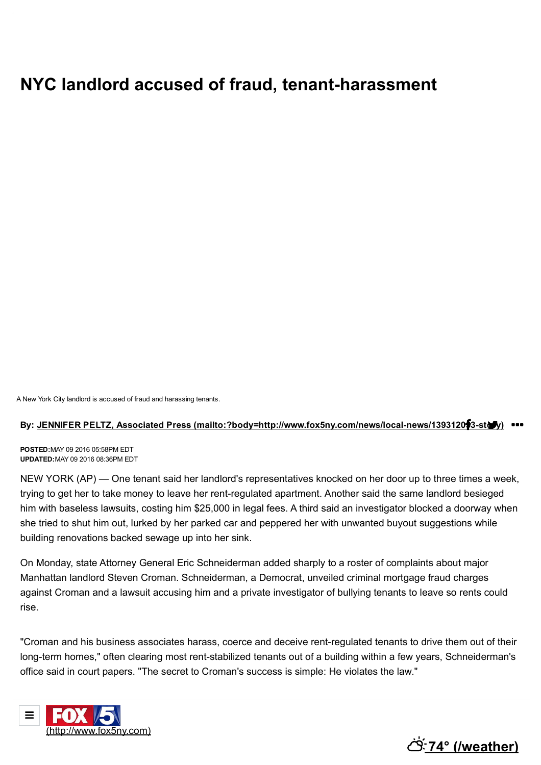## **NYC landlord accused of fraud, tenant-harassment**

A New York City landlord is accused of fraud and harassing tenants.

## By: JENNIFER PELTZ, Associated Press (mailto:?body=http://www.fox5ny.com/news/local-news/139312053-story) •••

**POSTED:**MAY 09 2016 05:58PM EDT **UPDATED:**MAY 09 2016 08:36PM EDT

NEW YORK (AP) — One tenant said her landlord's representatives knocked on her door up to three times a week, trying to get her to take money to leave her rent-regulated apartment. Another said the same landlord besieged him with baseless lawsuits, costing him \$25,000 in legal fees. A third said an investigator blocked a doorway when she tried to shut him out, lurked by her parked car and peppered her with unwanted buyout suggestions while building renovations backed sewage up into her sink.

On Monday, state Attorney General Eric Schneiderman added sharply to a roster of complaints about major Manhattan landlord Steven Croman. Schneiderman, a Democrat, unveiled criminal mortgage fraud charges against Croman and a lawsuit accusing him and a private investigator of bullying tenants to leave so rents could rise.

"Croman and his business associates harass, coerce and deceive rent-regulated tenants to drive them out of their long-term homes," often clearing most rent-stabilized tenants out of a building within a few years, Schneiderman's office said in court papers. "The secret to Croman's success is simple: He violates the law."